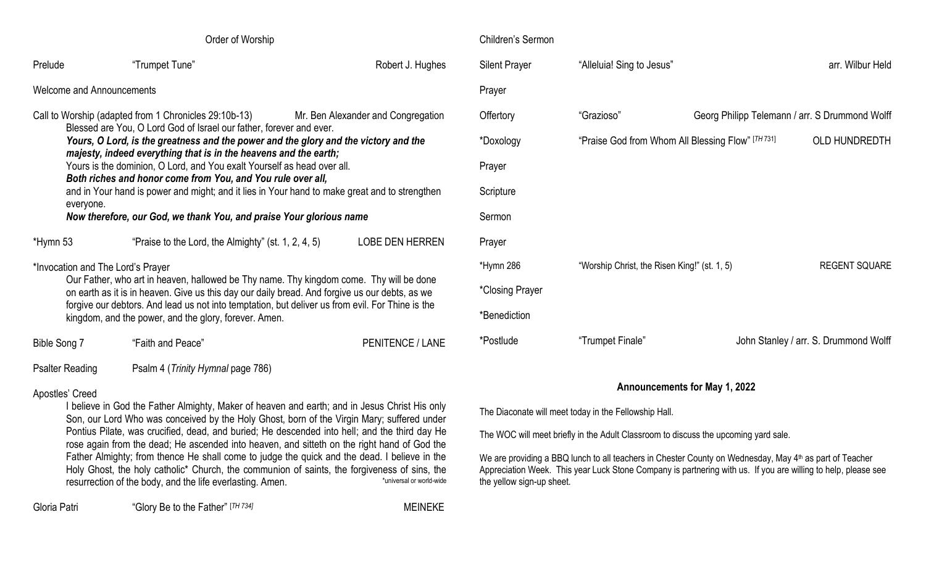| Order of Worship                                                                                                                                                                                                                                                                                                                                                                                                                                                                                                                                                                                                                                             |                                                     |                         |  |  |  |
|--------------------------------------------------------------------------------------------------------------------------------------------------------------------------------------------------------------------------------------------------------------------------------------------------------------------------------------------------------------------------------------------------------------------------------------------------------------------------------------------------------------------------------------------------------------------------------------------------------------------------------------------------------------|-----------------------------------------------------|-------------------------|--|--|--|
| Prelude                                                                                                                                                                                                                                                                                                                                                                                                                                                                                                                                                                                                                                                      | "Trumpet Tune"                                      | Robert J. Hughes        |  |  |  |
| Welcome and Announcements                                                                                                                                                                                                                                                                                                                                                                                                                                                                                                                                                                                                                                    |                                                     |                         |  |  |  |
| Call to Worship (adapted from 1 Chronicles 29:10b-13)<br>Mr. Ben Alexander and Congregation<br>Blessed are You, O Lord God of Israel our father, forever and ever.<br>Yours, O Lord, is the greatness and the power and the glory and the victory and the<br>majesty, indeed everything that is in the heavens and the earth;<br>Yours is the dominion, O Lord, and You exalt Yourself as head over all.<br>Both riches and honor come from You, and You rule over all,<br>and in Your hand is power and might; and it lies in Your hand to make great and to strengthen<br>everyone.<br>Now therefore, our God, we thank You, and praise Your glorious name |                                                     |                         |  |  |  |
| *Hymn 53                                                                                                                                                                                                                                                                                                                                                                                                                                                                                                                                                                                                                                                     | "Praise to the Lord, the Almighty" (st. 1, 2, 4, 5) | <b>LOBE DEN HERREN</b>  |  |  |  |
| *Invocation and The Lord's Prayer<br>Our Father, who art in heaven, hallowed be Thy name. Thy kingdom come. Thy will be done<br>on earth as it is in heaven. Give us this day our daily bread. And forgive us our debts, as we<br>forgive our debtors. And lead us not into temptation, but deliver us from evil. For Thine is the<br>kingdom, and the power, and the glory, forever. Amen.                                                                                                                                                                                                                                                                  |                                                     |                         |  |  |  |
| Bible Song 7                                                                                                                                                                                                                                                                                                                                                                                                                                                                                                                                                                                                                                                 | "Faith and Peace"                                   | <b>PENITENCE / LANE</b> |  |  |  |
| <b>Psalter Reading</b><br>Psalm 4 (Trinity Hymnal page 786)                                                                                                                                                                                                                                                                                                                                                                                                                                                                                                                                                                                                  |                                                     |                         |  |  |  |
| Apostles' Creed                                                                                                                                                                                                                                                                                                                                                                                                                                                                                                                                                                                                                                              |                                                     |                         |  |  |  |

# Apostles' Creed

I believe in God the Father Almighty, Maker of heaven and earth; and in Jesus Christ His only Son, our Lord Who was conceived by the Holy Ghost, born of the Virgin Mary; suffered under Pontius Pilate, was crucified, dead, and buried; He descended into hell; and the third day He rose again from the dead; He ascended into heaven, and sitteth on the right hand of God the Father Almighty; from thence He shall come to judge the quick and the dead. I believe in the Holy Ghost, the holy catholic\* Church, the communion of saints, the forgiveness of sins, the resurrection of the body, and the life everlasting. Amen. \*universal or world-wide

## Children's Sermon

| <b>Silent Prayer</b> | "Alleluia! Sing to Jesus"                         |                                                | arr. Wilbur Held                      |
|----------------------|---------------------------------------------------|------------------------------------------------|---------------------------------------|
| Prayer               |                                                   |                                                |                                       |
| Offertory            | "Grazioso"                                        | Georg Philipp Telemann / arr. S Drummond Wolff |                                       |
| *Doxology            | "Praise God from Whom All Blessing Flow" [TH 731] |                                                | <b>OLD HUNDREDTH</b>                  |
| Prayer               |                                                   |                                                |                                       |
| Scripture            |                                                   |                                                |                                       |
| Sermon               |                                                   |                                                |                                       |
| Prayer               |                                                   |                                                |                                       |
| *Hymn 286            | "Worship Christ, the Risen King!" (st. 1, 5)      |                                                | <b>REGENT SQUARE</b>                  |
| *Closing Prayer      |                                                   |                                                |                                       |
| *Benediction         |                                                   |                                                |                                       |
| *Postlude            | "Trumpet Finale"                                  |                                                | John Stanley / arr. S. Drummond Wolff |

# **Announcements for May 1, 2022**

The Diaconate will meet today in the Fellowship Hall.

MEINEKE

The WOC will meet briefly in the Adult Classroom to discuss the upcoming yard sale.

We are providing a BBQ lunch to all teachers in Chester County on Wednesday, May 4<sup>th</sup> as part of Teacher Appreciation Week. This year Luck Stone Company is partnering with us. If you are willing to help, please see the yellow sign-up sheet.